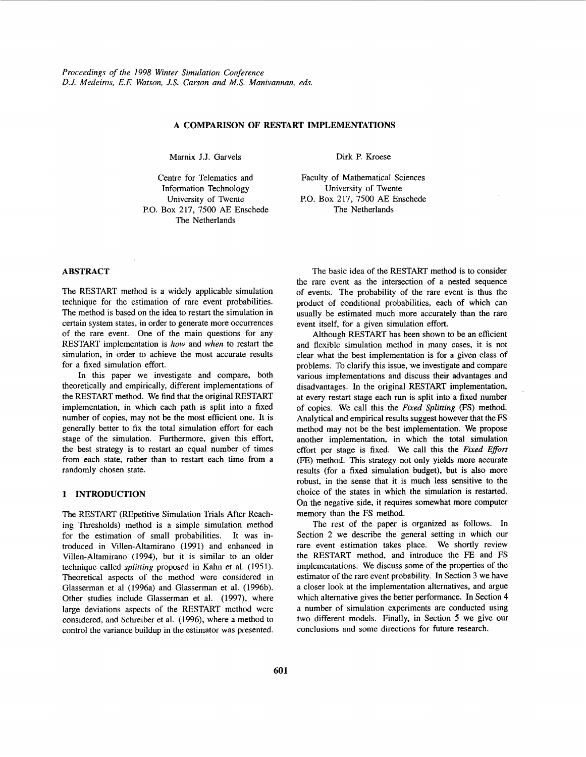# **A COMPARISON OF RESTART IMPLEMENTATIONS**

Marnix J.J. Garvels Dirk P. Kroese

Centre for Telematics and University of Twente P.O. Box 217, 7500 AE Enschede The Netherlands Information Technology University of Twente

Faculty of Mathematical Sciences P.O. Box 217, 7500 AE Enschede The Netherlands

# **ABSTRACT**

The RESTART method is a widely applicable simulation technique for the estimation of rare event probabilities. The method is based on the idea to restart the simulation in certain system states, in order to generate more occurrences of the rare event. One of the main questions for any RESTART implementation is *how* and *when* to restart the simulation, in order to achieve the most accurate results for a fixed simulation effort.

In this paper we investigate and compare, both theoretically and empirically, different implementations of the RESTART method. We find that the original RESTART implementation, in which each path is split into a fixed number of copies, may not be the most efficient one. It is generally better to fix the total simulation effort for each stage of the simulation. Furthermore, given this effort, the best strategy is to restart an equal number of times from each state, rather than to restart each time from a randomly chosen state.

# **1 INTRODUCTION**

The RESTART (REpetitive Simulation Trials After Reaching Thresholds) method is a simple simulation method for the estimation of small probabilities. It was introduced in Villen-Altamirano (1991) and enhanced in Villen-Altamirano (1994), but it is similar to an older technique called *splitting* proposed in Kahn et al. (195 **1).**  Theoretical aspects of the method were considered in Glasserman et a1 (1996a) and Glasserman et al. (1996b). Other studies include Glasserman et al. (1997), where large deviations aspects of the RESTART method were considered, and Schreiber et al. (1996), where a method to control the variance buildup in the estimator was presented.

The basic idea of the RESTART method is to consider the rare event as the intersection of a nested sequence of events. The probability of the rare event is thus the product of conditional probabilities, each of which can usually be estimated much more accurately than the rare event itself, for a given simulation effort.

Although RESTART has been shown to be an efficient and flexible simulation method in many cases, it is not clear what the best implementation is for a given class of problems. To clarify this issue, we investigate and compare various implementations and discuss their advantages and disadvantages. In the original RESTART implementation, at every restart stage each **run** is split into a fixed number of copies. We call this the *Fixed Splitting (FS)* method. Analytical and empirical results suggest however that the FS method may not be the best implementation. We propose another implementation, in which the total simulation effort per stage is fixed. We call this the *Fixed Effort*  (FE) method. This strategy not only yields more accurate results (for a fixed simulation budget), but is also more robust, in the sense that it is much less sensitive to the choice of the states in which the simulation is restarted. On the negative side, it requires somewhat more computer memory than the FS method.

The rest of the paper is organized as follows. In Section 2 we describe the general setting in which our rare event estimation takes place. We shortly review the RESTART method, and introduce the FE and FS implementations. We discuss some of the properties of the estimator of the rare event probability. In Section **3** we have a closer look at the implementation alternatives, and argue which alternative gives the better performance. In Section **4**  a number of simulation experiments are conducted using two differerit models. Finally, in Section *5* we give our conclusions and some directions for future research.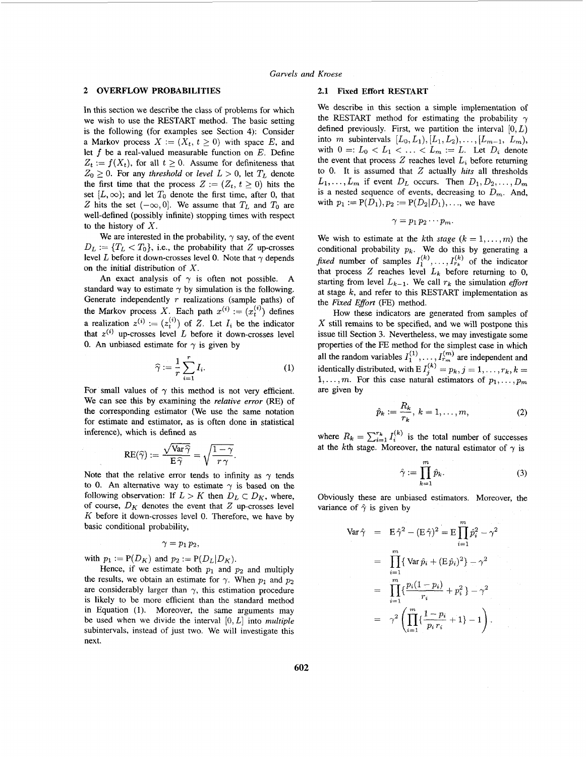# **2 OVERFLOW PROBABILITIES 2.1 Fixed Effort RESTART**

In this section we describe the class of problems for which we wish to use the RESTART method. The basic setting is the following (for examples see Section 4): Consider a Markov process  $X := (X_t, t \geq 0)$  with space E, and let *f* be a real-valued measurable function on *E.* Define  $Z_t := f(X_t)$ , for all  $t \geq 0$ . Assume for definiteness that  $Z_0 \geq 0$ . For any *threshold* or *level*  $L > 0$ , let  $T_L$  denote the first time that the process  $Z := (Z_t, t \geq 0)$  hits the set  $[L, \infty)$ ; and let  $T_0$  denote the first time, after 0, that *Z* hits the set  $(-\infty, 0]$ . We assume that  $T_L$  and  $T_0$  are well-defined (possibly infinite) stopping times with respect to the history of *X.* 

We are interested in the probability,  $\gamma$  say, of the event  $D_L := \{T_L < T_0\}$ , i.e., the probability that *Z* up-crosses level *L* before it down-crosses level 0. Note that  $\gamma$  depends on the initial distribution of *X.* 

An exact analysis of  $\gamma$  is often not possible. A standard way to estimate  $\gamma$  by simulation is the following. Generate independently *r* realizations (sample paths) of the Markov process X. Each path  $x^{(i)} := (x_t^{(i)})$  defines a realization  $z^{(i)} := (z_i^{(i)})$  of *Z*. Let  $I_i$  be the indicator that  $z^{(i)}$  up-crosses level L before it down-crosses level 0. An unbiased estimate for  $\gamma$  is given by

$$
\widehat{\gamma} := \frac{1}{r} \sum_{i=1}^{r} I_i.
$$
 (1)

For small values of  $\gamma$  this method is not very efficient. We can see this by examining the *relative error* (RE) *of*  the corresponding estimator (We use the same notation for estimate and estimator, as is often done in statistical inference), which is defined as

$$
\text{RE}(\widehat{\gamma}) := \frac{\sqrt{\text{Var}\,\widehat{\gamma}}}{\text{E}\,\widehat{\gamma}} = \sqrt{\frac{1-\gamma}{r\,\gamma}}.
$$

Note that the relative error tends to infinity as  $\gamma$  tends to 0. An alternative way to estimate  $\gamma$  is based on the following observation: If  $L > K$  then  $D_L \subset D_K$ , where, of course,  $D_K$  denotes the event that  $Z$  up-crosses level *K* before it down-crosses level 0. Therefore, we have by basic conditional probability,

$$
\gamma=p_1\,p_2,
$$

with  $p_1 := P(D_K)$  and  $p_2 := P(D_L|D_K)$ .

Hence, if we estimate both  $p_1$  and  $p_2$  and multiply the results, we obtain an estimate for  $\gamma$ . When  $p_1$  and  $p_2$ are considerably larger than  $\gamma$ , this estimation procedure is likely to be more efficient than the standard method in Equation (1). Moreover, the same arguments may be used when we divide the interval [0, *L]* into *multiple*  subintervals, instead of just two. We will investigate this next.

**We** describe in this section a simple implementation of the RESTART method for estimating the probability  $\gamma$ defined previously. First, we partition the interval  $[0, L)$ into *m* subintervals  $[L_0, L_1), [L_1, L_2), \ldots, [L_{m-1}, L_m),$ with  $0 =: L_0 < L_1 < \ldots < L_m := L$ . Let  $D_i$  denote the event that process  $Z$  reaches level  $L_i$  before returning to 0. It is assumed that *2* actually *hits* all thresholds  $L_1, \ldots, L_m$  if event  $D_L$  occurs. Then  $D_1, D_2, \ldots, D_m$ is a nested sequence of events, decreasing to  $D_m$ . And, with  $p_1 := P(D_1), p_2 := P(D_2|D_1), \ldots$ , we have

$$
\gamma=p_1\,p_2\cdots p_m.
$$

We wish to estimate at the kth *stage*  $(k = 1, \ldots, m)$  the conditional probability  $p_k$ . We do this by generating a *fixed* number of samples  $I_1^{(k)}, \ldots, I_{r_k}^{(k)}$  of the indicator that process  $Z$  reaches level  $L_k$  before returning to 0, starting from level  $L_{k-1}$ . We call  $r_k$  the simulation *effort* at stage *k,* and refer to this RESTART implementation as the *Fixed Effort* (FE) method.

How these indicators are generated from samples of *X* still remains to be specified, and we will postpone this issue till Section **3.** Nevertheless, we may investigate some properties of the FE method for the simplest case in which all the random variables  $I_1^{(1)}, \ldots, I_{r_m}^{(m)}$  are independent and identically distributed, with E  $I_j^{(k)} = p_k, j = 1, \ldots, r_k, k = 1$ 1,...,*m*. For this case natural estimators of  $p_1, \ldots, p_m$ are given by

$$
\hat{p}_k := \frac{R_k}{r_k}, \ k = 1, \dots, m,
$$
\n(2)

where  $R_k = \sum_{i=1}^{r_k} I_i^{(k)}$  is the total number of successes at the kth stage. Moreover, the natural estimator of  $\gamma$  is

$$
\hat{\gamma} := \prod_{k=1}^{m} \hat{p}_k.
$$
 (3)

Obviously these are unbiased estimators. Moreover, the variance of  $\hat{\gamma}$  is given by

$$
\begin{array}{rcl}\n\text{Var}\,\hat{\gamma} & = & \text{E}\,\hat{\gamma}^2 - (\text{E}\,\hat{\gamma})^2 = \text{E}\prod_{i=1}^m \hat{p}_i^2 - \gamma^2 \\
& = & \prod_{i=1}^m \left\{ \text{Var}\,\hat{p}_i + (\text{E}\,\hat{p}_i)^2 \right\} - \gamma^2 \\
& = & \prod_{i=1}^m \left\{ \frac{p_i(1-p_i)}{r_i} + p_i^2 \right\} - \gamma^2 \\
& = & \gamma^2 \left( \prod_{i=1}^m \left\{ \frac{1-p_i}{p_i \, r_i} + 1 \right\} - 1 \right).\n\end{array}
$$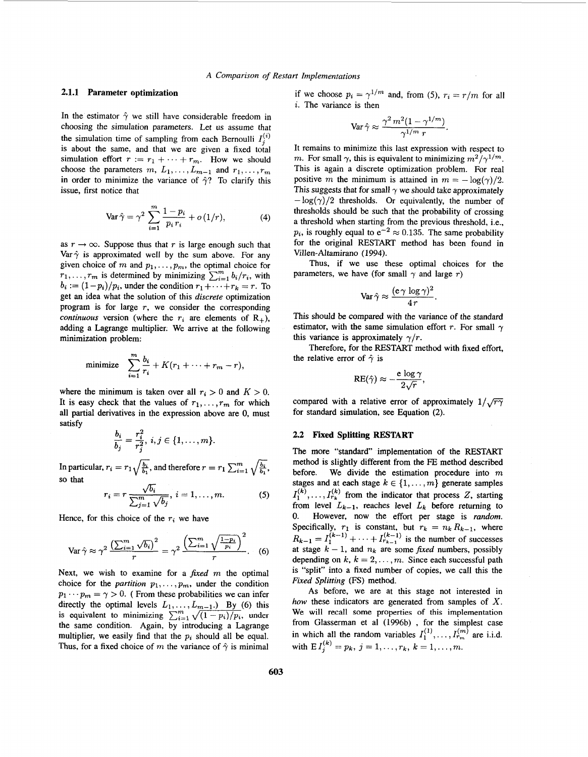# **2.1.1 Parameter optimization**

In the estimator  $\hat{\gamma}$  we still have considerable freedom in choosing the simulation parameters. Let us assume that the simulation time of sampling from each Bernoulli  $I_i^{(i)}$ is about the same, and that we are given a fixed total simulation effort  $r := r_1 + \cdots + r_m$ . How we should choose the parameters  $m, L_1, \ldots, L_{m-1}$  and  $r_1, \ldots, r_m$ in order to minimize the variance of  $\hat{\gamma}$ ? To clarify this issue, first notice that

$$
\text{Var}\,\hat{\gamma} = \gamma^2 \sum_{i=1}^{m} \frac{1 - p_i}{p_i r_i} + o\,(1/r),\tag{4}
$$

as  $r \rightarrow \infty$ . Suppose thus that *r* is large enough such that Var $\hat{\gamma}$  is approximated well by the sum above. For any given choice of *m* and  $p_1, \ldots, p_m$ , the optimal choice for  $r_1, \ldots, r_m$  is determined by minimizing  $\sum_{i=1}^m b_i/r_i$ , with  $b_i := (1-p_i)/p_i$ , under the condition  $r_1 + \cdots + r_k = r$ . To get an idea what the solution of this *discrete* optimization program is for large *r,* we consider the corresponding *continuous* version (where the  $r_i$  are elements of  $R_+$ ), adding a Lagrange multiplier. We arrive at the following minimization problem:

minimize 
$$
\sum_{i=1}^{m} \frac{b_i}{r_i} + K(r_1 + \cdots + r_m - r),
$$

where the minimum is taken over all  $r_i > 0$  and  $K > 0$ . It is easy check that the values of  $r_1, \ldots, r_m$  for which all partial derivatives in the expression above are 0, must satisfy

$$
\frac{b_i}{b_j} = \frac{r_i^2}{r_j^2}, \ i, j \in \{1, \ldots, m\}.
$$

In particular,  $r_i = r_1 \sqrt{\frac{b_i}{b_i}}$ , and therefore  $r = r_1 \sum_{i=1}^m \sqrt{\frac{b_i}{b_i}}$ , so that

$$
r_i = r \frac{\sqrt{b_i}}{\sum_{j=1}^m \sqrt{b_j}}, \ i = 1, \dots, m. \tag{5}
$$

Hence, for this choice of the  $r_i$  we have

$$
\operatorname{Var}\hat{\gamma}\approx\gamma^2\,\frac{\left(\sum_{i=1}^m\sqrt{b_i}\right)^2}{r}=\gamma^2\,\frac{\left(\sum_{i=1}^m\sqrt{\frac{1-p_i}{p_i}}\right)^2}{r}.\tag{6}
$$

Next, we wish to examine for a *fixed*  $m$  the optimal choice for the *partition*  $p_1, \ldots, p_m$ , under the condition  $p_1 \cdots p_m = \gamma > 0$ . (From these probabilities we can infer directly the optimal levels  $L_1, \ldots, L_{m-1}$ .) By (6) this equivalent to minimizing  $\sum_{i=1}^{m} \sqrt{(1-p_i)/p_i}$ , under the same condition. Again, by introducing a Lagrange multiplier, we easily find that the  $p_i$  should all be equal. Thus, for a fixed choice of *m* the variance of  $\hat{\gamma}$  is minimal

if we choose  $p_i = \gamma^{1/m}$  and, from (5),  $r_i = r/m$  for all *i.* The variance is then

$$
\text{Var}\,\hat{\gamma} \approx \frac{\gamma^2\,m^2(1-\gamma^{1/m})}{\gamma^{1/m}\,r}.
$$

It remains to minimize this last expression with respect to *m*. For small  $\gamma$ , this is equivalent to minimizing  $m^2/\gamma^{1/m}$ . This is again a discrete optimization problem. For real positive *m* the minimum is attained in  $m = -\log(\gamma)/2$ . This suggests that for small  $\gamma$  we should take approximately  $-\log(\gamma)/2$  thresholds. Or equivalently, the number of thresholds should be such that the probability of crossing a threshold when starting from the previous threshold, i.e.,  $p_i$ , is roughly equal to  $e^{-2} \approx 0.135$ . The same probability for the original RESTART method has been found in Villen-Altamirano (1994).

Thus, if we use these optimal choices for the parameters, we have (for small  $\gamma$  and large  $r$ )

$$
\operatorname{Var}\hat{\gamma}\approx\frac{({\rm e}\,\gamma\,\log\gamma)^2}{4\,r}.
$$

This should be compared with the variance of the standard estimator, with the same simulation effort *r*. For small  $\gamma$ this variance is approximately  $\gamma/r$ .

Therefore, for the RESTART method with fixed effort, the relative error of  $\hat{\gamma}$  is

$$
\mathrm{RE}(\hat{\gamma}) \approx -\frac{\mathrm{e~log\,} \gamma}{2\sqrt{r}},
$$

compared with a relative error of approximately  $1/\sqrt{r\gamma}$ for standard simulation, see Equation (2).

# **2.2 Fixed Splitting RESTART**

The more "standard" implementation of the RESTART method is slightly different from the FE method described before. We divide the estimation procedure into *m*  stages and at each stage  $k \in \{1, ..., m\}$  generate samples from level  $L_{k-1}$ , reaches level  $L_k$  before returning to 0. However, now the effort per stage is *random.*  Specifically,  $r_1$  is constant, but  $r_k = n_k R_{k-1}$ , where at stage  $k-1$ , and  $n_k$  are some *fixed* numbers, possibly depending on  $k, k = 2, \ldots, m$ . Since each successful path is "split" into a fixed number of copies, we call this the *Fixed Splitting* (FS) method.  $I_1^{(k)}, \ldots, I_{r_k}^{(k)}$  from the indicator that process *Z*, starting  $R_{k-1} = I_1^{(k-1)} + \cdots + I_{r_{k-1}}^{(k-1)}$  is the number of successes

As before, we are at this stage not interested in *how* these indicators are generated from samples of X. We will recall some properties of this implementation from Glasserman et a1 (1996b) , for the simplest case in which all the random variables  $I_1^{(1)}, \ldots, I_{r_m}^{(m)}$  are i.i.d. with  $E I_i^{(k)} = p_k$ ,  $j = 1, ..., r_k$ ,  $k = 1, ..., m$ .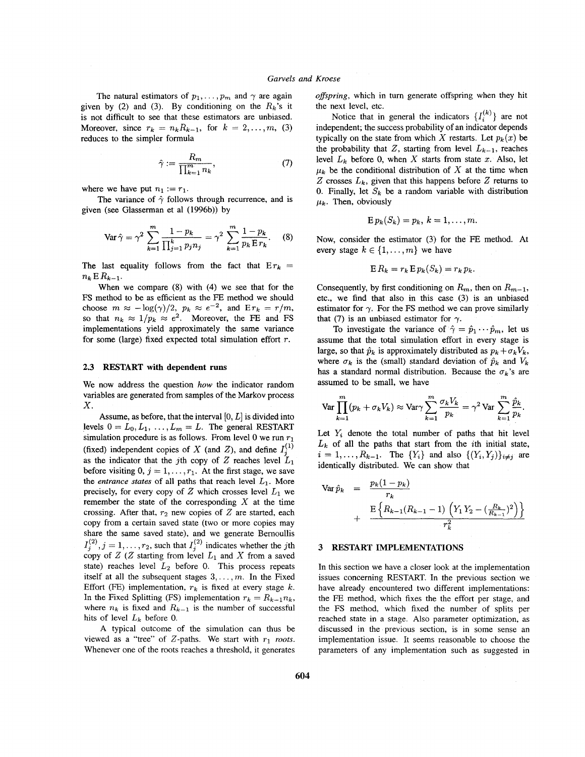The natural estimators of  $p_1, \ldots, p_m$  and  $\gamma$  are again given by (2) and (3). By conditioning on the  $R_k$ 's it is not difficult to see that these estimators are unbiased. Moreover, since  $r_k = n_k R_{k-1}$ , for  $k = 2, ..., m$ , (3) reduces to the simpler formula

$$
\hat{\gamma} := \frac{R_m}{\prod_{k=1}^m n_k},\tag{7}
$$

where we have put  $n_1 := r_1$ .

given (see Glasserman et a1 (1996b)) by The variance of  $\hat{\gamma}$  follows through recurrence, and is

$$
\text{Var}\,\hat{\gamma} = \gamma^2 \sum_{k=1}^m \frac{1 - p_k}{\prod_{j=1}^k p_j n_j} = \gamma^2 \sum_{k=1}^m \frac{1 - p_k}{p_k E r_k}.\tag{8}
$$

The last equality follows from the fact that  $Er_k =$  $n_k$  **E**  $R_{k-1}$ .

When we compare (8) with (4) we see that for the FS method **to** be as efficient as the FE method we should choose  $m \approx -\log(\gamma)/2$ ,  $p_k \approx e^{-2}$ , and  $E r_k = r/m$ , so that  $n_k \approx 1/p_k \approx e^2$ . Moreover, the FE and FS implementations yield approximately the same variance for some (large) fixed expected total simulation effort *T.* 

# **2.3 RESTART with dependent runs**

We now address the question *how* the indicator random variables are generated from samples of the Markov process *X.* 

Assume, as before, that the interval [0, *L]* is divided into levels  $0 = L_0, L_1, \ldots, L_m = L$ . The general RESTART simulation procedure is as follows. From level 0 we run *r1*  (fixed) independent copies of X (and Z), and define  $I_3^{(1)}$ as the indicator that the jth copy of  $Z$  reaches level  $L_1$ before visiting  $0, j = 1, \ldots, r_1$ . At the first stage, we save the *entrance states* of all paths that reach level  $L_1$ . More precisely, for every copy of  $Z$  which crosses level  $L_1$  we remember the state of the corresponding  $X$  at the time crossing. After that,  $r_2$  new copies of  $Z$  are started, each copy from a certain saved state (two or more copies may share the same saved state), and we generate Bernoullis  $I_1^{(2)}$ ,  $j = 1, \ldots, r_2$ , such that  $I_2^{(2)}$  indicates whether the jth copy of  $Z$  ( $Z$  starting from level  $L_1$  and  $X$  from a saved state) reaches level *L2* before 0. This process repeats itself at all the subsequent stages  $3, \ldots, m$ . In the Fixed Effort (FE) implementation,  $r_k$  is fixed at every stage  $k$ . In the Fixed Splitting (FS) implementation  $r_k = R_{k-1}n_k$ , where  $n_k$  is fixed and  $R_{k-1}$  is the number of successful hits of level *Lk* before 0.

A typical outcome of the simulation can thus be viewed as a "tree" of  $Z$ -paths. We start with  $r_1$  roots. Whenever one of the roots reaches a threshold, it generates *oflspring,* which in turn generate offspring when they hit the next level, etc.

Notice that in general the indicators  $\{I_i^{(k)}\}$  are not independent; the success probability of an indicator depends typically on the state from which *X* restarts. Let  $p_k(x)$  be the probability that Z, starting from level  $L_{k-1}$ , reaches level  $L_k$  before 0, when X starts from state  $x$ . Also, let  $\mu_k$  be the conditional distribution of X at the time when Z crosses  $L_k$ , given that this happens before Z returns to 0. Finally, let  $S_k$  be a random variable with distribution  $\mu_k$ . Then, obviously

$$
E p_k(S_k) = p_k, k = 1, \ldots, m.
$$

Now, consider the estimator (3) for the FE method. At every stage  $k \in \{1, \ldots, m\}$  we have

$$
\mathbf{E}\,R_k = r_k\,\mathbf{E}\,p_k(S_k) = r_k\,p_k.
$$

Consequently, by first conditioning on  $R_{m}$ , then on  $R_{m-1}$ , etc., we find that also in this case **(3)** is an unbiased estimator for  $\gamma$ . For the FS method we can prove similarly that (7) is an unbiased estimator for  $\gamma$ .

To investigate the variance of  $\hat{\gamma} = \hat{p}_1 \cdots \hat{p}_m$ , let us assume that the total simulation effort in every stage is large, so that  $\hat{p}_k$  is approximately distributed as  $p_k + \sigma_k V_k$ , where  $\sigma_k$  is the (small) standard deviation of  $\hat{p}_k$  and  $V_k$ has a standard normal distribution. Because the  $\sigma_k$ 's are assumed to be small, we have

$$
\text{Var}\prod_{k=1}^{m} (p_k + \sigma_k V_k) \approx \text{Var}\gamma \sum_{k=1}^{m} \frac{\sigma_k V_k}{p_k} = \gamma^2 \text{Var}\sum_{k=1}^{m} \frac{\hat{p}_k}{p_k}.
$$

Let  $Y_i$  denote the total number of paths that hit level  $L_k$  of all the paths that start from the *i*th initial state,  $i = 1, ..., R_{k-1}$ . The  $\{Y_i\}$  and also  $\{(Y_i, Y_j)\}_{i \neq j}$  are identically distributed. We can show that

Var 
$$
\hat{p}_k
$$
 =  $\frac{p_k(1-p_k)}{r_k}$   
+  $\frac{E\left\{R_{k-1}(R_{k-1}-1) \left(Y_1 Y_2 - \left(\frac{R_k}{R_{k-1}}\right)^2\right)\right\}}{r_k^2}$ 

### **3 RESTART IMPLEMENTATIONS**

In this section we have a closer look at the implementation issues concerning RESTART. In the previous section we have already encountered two different implementations: the FE method, which fixes the the effort per stage, and the FS method, which fixed the number of splits per reached state in a stage. Also parameter optimization, as discussed in the previous section, is in some sense an implementation issue. It seems reasonable to choose the parameters of any implementation such as suggested in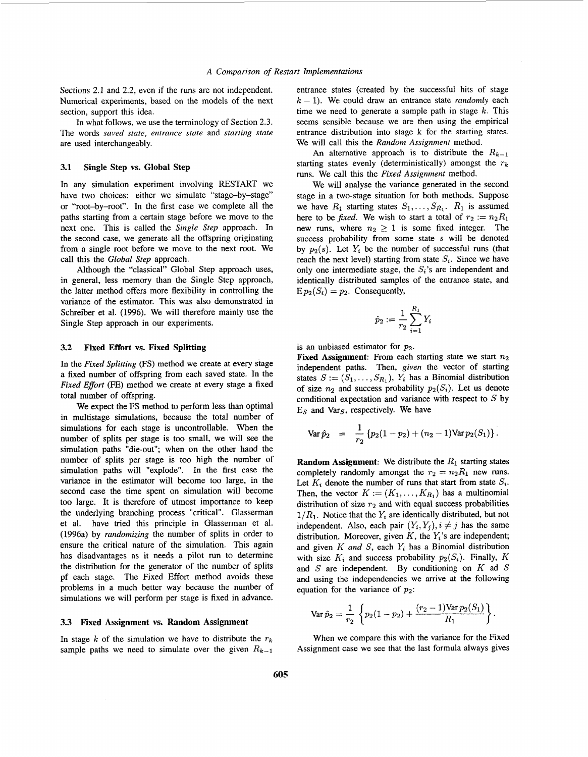Sections 2.1 and 2.2, even if the runs are not independent. Numerical experiments, based on the models of the next section, support this idea.

In what follows, we use the terminology of Section *2.3.*  The words *saved state, entrance state* and *starting state*  are used interchangeably.

### **3.1 Single Step vs. Global Step**

In any simulation experiment involving RESTART we have two choices: either we simulate "stage-by-stage" or "root-by-root". In the first case we complete all the paths starting from a certain stage before we move to the next one. This is called the *Single Step* approach. In the second case, we generate all the offspring originating from a single root before we move to the next root. We call this the *Global Step* approach.

Although the "classical" Global Step approach uses, in general, less memory than the Single Step approach, the latter method offers more flexibility in controlling the variance of the estimator. This was also demonstrated in Schreiber et al. (1996). We will therefore mainly use the Single Step approach in our experiments.

#### **3.2 Fixed Effort vs. Fixed Splitting**

In the *Fixed Splitting* (FS) method we create at every stage a fixed number of offspring from each saved state. In the *Fixed Effort* (FE) method we create at every stage a fixed total number of offspring.

We expect the **FS** method to perform less than optimal in multistage simulations, because the total number of simulations for each stage is uncontrollable. When the number of splits per stage is too small, we will see the simulation paths "die-out"; when on the other hand the number of splits per stage is too high the number of simulation paths will "explode". In the first case the variance in the estimator will become too large, in the second case the time spent on simulation will become too large. It is therefore of utmost importance to keep the underlying branching process "critical". Glasserman et al. have tried this principle in Glasserman et al. (1996a) by *randomizing* the number of splits in order to ensure the critical nature of the simulation. This again has disadvantages as it needs a pilot run to determine the distribution for the generator of the number of splits pf each stage. The Fixed Effort method avoids these problems in a much better way because the number of simulations we will perform per stage is fixed in advance.

# **3.3 Fixed Assignment vs. Random Assignment**

In stage  $k$  of the simulation we have to distribute the  $r_k$ sample paths we need to simulate over the given  $R_{k-1}$  entrance states (created by the successful hits of stage  $k - 1$ . We could draw an entrance state *randomly* each time we need to generate a sample path in stage *k.* This seems sensible because we are then using the empirical entrance distribution into stage **k** for the starting states. We will call this the *Random Assignment* method.

An alternative approach is to distribute the  $R_{k-1}$ starting states evenly (deterministically) amongst the  $r_k$ runs. We call this the *Fixed Assignment* method.

We will analyse the variance generated in the second stage in a two-stage situation for both methods. Suppose we have  $R_1$  starting states  $S_1, \ldots, S_{R_1}$ .  $R_1$  is assumed here to be *fixed*. We wish to start a total of  $r_2 := n_2R_1$ new runs, where  $n_2 \geq 1$  is some fixed integer. The success probability from some state s will be denoted by  $p_2(s)$ . Let  $Y_i$  be the number of successful runs (that reach the next level) starting from state  $S_i$ . Since we have only one intermediate stage, the  $S_i$ 's are independent and identically distributed samples of the entrance state, and  $E p_2(S_i) = p_2$ . Consequently,

$$
\hat{p}_2 := \frac{1}{r_2} \sum_{i=1}^{R_1} Y_i
$$

is an unbiased estimator for *p2.* 

**Fixed Assignment:** From each starting state we start  $n_2$ independent paths. Then, *given* the vector of starting states  $S := (S_1, \ldots, S_{R_1}), Y_i$  has a Binomial distribution of size  $n_2$  and success probability  $p_2(S_i)$ . Let us denote conditional expectation and variance with respect to  $S$  by  $E<sub>S</sub>$  and Var<sub>S</sub>, respectively. We have

$$
\text{Var}\,\hat{p}_2 = \frac{1}{r_2} \left\{ p_2(1-p_2) + (n_2-1)\text{Var}\,p_2(S_1) \right\}.
$$

**Random Assignment:** We distribute the  $R_1$  starting states completely randomly amongst the  $r_2 = n_2R_1$  new runs. Let  $K_i$  denote the number of runs that start from state  $S_i$ . Then, the vector  $K := (K_1, \ldots, K_{R_1})$  has a multinomial distribution of size  $r_2$  and with equal success probabilities  $1/R<sub>1</sub>$ . Notice that the  $Y<sub>i</sub>$  are identically distributed, but not independent. Also, each pair  $(Y_i, Y_j), i \neq j$  has the same distribution. Moreover, given  $K$ , the  $Y_i$ 's are independent; and given  $K$  and  $S$ , each  $Y_i$  has a Binomial distribution with size  $K_i$  and success probability  $p_2(S_i)$ . Finally, K and *S* are independent. By conditioning on *K* ad *S*  and using the independencies we arrive at the following equation for the variance of  $p_2$ :

$$
\text{Var}\,\hat{p}_2 = \frac{1}{r_2}\left\{p_2(1-p_2) + \frac{(r_2-1)\text{Var}\,p_2(S_1)}{R_1}\right\}.
$$

When we compare this with the variance for the Fixed Assignment case we see that the last formula always gives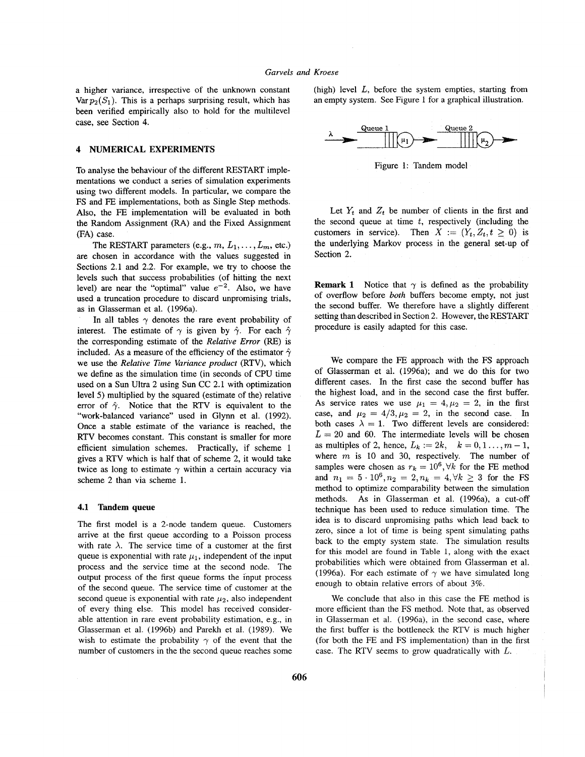a higher variance, irrespective of the unknown constant Var  $p_2(S_1)$ . This is a perhaps surprising result, which has been verified empirically also to hold for the multilevel case, see Section 4.

# **4 NUMERICAL EXPERIMENTS**

To analyse the behaviour of the different RESTART implementations we conduct a series of simulation experiments using two different models. In particular, we compare the FS and FE implementations, both as Single Step methods. Also, the FE implementation will be evaluated in both the Random Assignment (RA) and the Fixed Assignment (FA) case.

The RESTART parameters (e.g.,  $m, L_1, \ldots, L_m$ , etc.) are chosen in accordance with the values suggested in Sections 2.1 and 2.2. For example, we try to choose the levels such that success probabilities (of hitting the next level) are near the "optimal" value  $e^{-2}$ . Also, we have used a truncation procedure to discard unpromising trials, as in Glasserman et al. (1996a).

In all tables  $\gamma$  denotes the rare event probability of interest. The estimate of  $\gamma$  is given by  $\hat{\gamma}$ . For each  $\hat{\gamma}$ the corresponding estimate of the *Relative Error* (RE) is included. As a measure of the efficiency of the estimator  $\hat{\gamma}$ we use the *Relative Time Variance product* (RTV), which we define as the simulation time (in seconds of CPU time used on a **Sun** Ultra 2 using Sun CC 2.1 with optimization level *5)* multiplied by the squared (estimate of the) relative error of  $\hat{\gamma}$ . Notice that the RTV is equivalent to the "work-balanced variance" used in Glynn et al. (1992). Once a stable estimate of the variance is reached, the RTV becomes constant. This constant is smaller for more efficient simulation schemes. Practically, if scheme 1 gives a RTV which is half that of scheme 2, it would take twice as long to estimate  $\gamma$  within a certain accuracy via scheme 2 than via scheme 1.

## **4.1 Tandem queue**

The first model is a 2-node tandem queue. Customers arrive at the first queue according to a Poisson process with rate  $\lambda$ . The service time of a customer at the first queue is exponential with rate  $\mu_1$ , independent of the input process and the service time at the second node. The output process of the first queue forms the input process of the second queue. The service time of customer at the second queue is exponential with rate  $\mu_2$ , also independent of every thing else. This model has received considerable attention in rare event probability estimation, e.g., in Glasserman et al. (1996b) and Parekh et al. (1989). We wish to estimate the probability  $\gamma$  of the event that the number of customers in the the second queue reaches some (high) level *L,* before the system empties, starting from an empty system. See Figure 1 for a graphical illustration.



Figure 1: Tandem model

Let  $Y_t$  and  $Z_t$  be number of clients in the first and the second queue at time *t,* respectively (including the customers in service). Then  $X := (Y_t, Z_t, t \ge 0)$  is the underlying Markov process in the general set-up of Section 2.

**Remark 1** Notice that  $\gamma$  is defined as the probability of overflow before *both* buffers become empty, not just the second buffer. We therefore have a slightly different setting than described in Section 2. However, the RESTART procedure is easily adapted for this case.

We compare the FE approach with the FS approach of Glasserman et al. (1996a); and we do this for two different cases. In the first case the second buffer has the highest load, and in the second case the first buffer. As service rates we use  $\mu_1 = 4, \mu_2 = 2$ , in the first case, and  $\mu_2 = 4/3, \mu_2 = 2$ , in the second case. In both cases  $\lambda = 1$ . Two different levels are considered:  $L = 20$  and 60. The intermediate levels will be chosen as multiples of 2, hence,  $L_k := 2k, \quad k = 0, 1, ..., m - 1$ , where *m* is 10 and 30, respectively. The number of samples were chosen as  $r_k = 10^6$ ,  $\forall k$  for the FE method and  $n_1 = 5 \cdot 10^6, n_2 = 2, n_k = 4, \forall k \geq 3$  for the FS method to optimize comparability between the simulation methods. As in Glasserman et al. (1996a), a cut-off technique has been used to reduce simulation time. The idea is to discard unpromising paths which lead back to zero, since a lot of time is being spent simulating paths back to the empty system state. The simulation results for this model are found in Table 1, along with the exact probabilities which were obtained from Glasserman et al. (1996a). For each estimate of  $\gamma$  we have simulated long enough to obtain relative errors of about **3%.** 

We conclude that also in this case the **FE** method is more efficient than the FS method. Note that, as observed in Glasserman et al. (1996a), in the second case, where the first buffer is the bottleneck the RTV is much higher (for both the FE and **FS** implementation) than in the first case. The RTV seems to grow quadratically with *L.*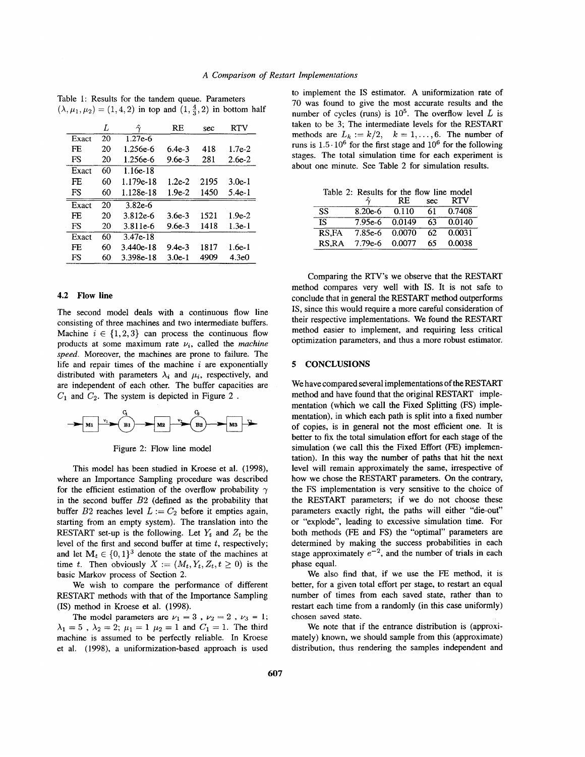|       | L  | $\gamma$   | RE         | sec  | RTV      |
|-------|----|------------|------------|------|----------|
| Exact | 20 | $1.27e-6$  |            |      |          |
| FF.   | 20 | 1.256e-6   | $6.4e-3$   | 418  | $1.7e-2$ |
| FS    | 20 | 1.256e-6   | $9.6e - 3$ | 281  | $2.6e-2$ |
| Exact | 60 | $1.16e-18$ |            |      |          |
| FE.   | 60 | 1.179e-18  | $1.2e-2$   | 2195 | $3.0e-1$ |
| FS    | 60 | 1.128e-18  | $1.9e-2$   | 1450 | 5.4e-1   |
| Exact | 20 | $3.82e-6$  |            |      |          |
| FE    | 20 | 3.812e-6   | $3.6e-3$   | 1521 | $1.9e-2$ |
| FS    | 20 | 3.811e-6   | $9.6e-3$   | 1418 | $1.3e-1$ |
| Exact | 60 | $3.47e-18$ |            |      |          |
| FF.   | 60 | 3.440e-18  | $9.4e-3$   | 1817 | $1.6e-1$ |
| FS    | 60 | 3.398e-18  | $3.0e-1$   | 4909 | 4.3e0    |

Table **1:** Results for the tandem queue. Parameters  $(\lambda, \mu_1, \mu_2) = (1, 4, 2)$  in top and  $(1, \frac{4}{2}, 2)$  in bottom half

## **4.2 Flow line**

The second model deals with a continuous flow line consisting of three machines and two intermediate buffers. Machine  $i \in \{1,2,3\}$  can process the continuous flow products at some maximum rate  $\nu_i$ , called the *machine speed.* Moreover, the machines are prone to failure. The life and repair times of the machine *i* are exponentially distributed with parameters  $\lambda_i$  and  $\mu_i$ , respectively, and are independent of each other. The buffer capacities are  $C_1$  and  $C_2$ . The system is depicted in Figure 2.



Figure 2: Flow line model

This model has been studied in Kroese et al. (1998), where an Importance Sampling procedure was described for the efficient estimation of the overflow probability  $\gamma$ in the second buffer *B2* (defined as the probability that buffer  $B2$  reaches level  $L := C_2$  before it empties again, starting from an empty system). The translation into the RESTART set-up is the following. Let  $Y_t$  and  $Z_t$  be the level of the first and second buffer at time *t,* respectively; and let  $M_t \in \{0, 1\}^3$  denote the state of the machines at time *t*. Then obviously  $X := (M_t, Y_t, Z_t, t \ge 0)$  is the basic Markov process of Section 2.

We wish to compare the performance of different RESTART methods with that of the Importance Sampling **(IS)** method in Kroese et al. (1998).

The model parameters are  $\nu_1 = 3$ ,  $\nu_2 = 2$ ,  $\nu_3 = 1$ ;  $\lambda_1 = 5$ ,  $\lambda_2 = 2$ ;  $\mu_1 = 1$   $\mu_2 = 1$  and  $C_1 = 1$ . The third machine is assumed to be perfectly reliable. In Kroese et al. (1998), a uniformization-based approach is used to implement the IS estimator. A uniformization rate of 70 was found to give the most accurate results and the number of cycles (runs) is  $10^5$ . The overflow level *L* is taken to be 3; The intermediate levels for the RESTART methods are  $L_k := k/2$ ,  $k = 1, ..., 6$ . The number of runs is  $1.5 \cdot 10^6$  for the first stage and  $10^6$  for the following stages. The total simulation time for each experiment is about one minute. See Table 2 for simulation results.

| Table 2: Results for the flow line model |                   |        |     |            |  |  |  |
|------------------------------------------|-------------------|--------|-----|------------|--|--|--|
|                                          |                   | RE.    | sec | <b>RTV</b> |  |  |  |
| SS.                                      | $8.20e-6$ $0.110$ |        | 61. | 0.7408     |  |  |  |
| $\overline{\text{IS}}$                   | 7.95e-6 0.0149    |        | 63  | 0.0140     |  |  |  |
| RS.FA                                    | 7.85e-6 0.0070    |        | 62. | 0.0031     |  |  |  |
| RS.RA                                    | $7.79e-6$         | 0.0077 | 65  | 0.0038     |  |  |  |

Comparing the RTV's we observe that the RESTART method compares very well with IS. It is not safe to conclude that in general the RESTART method outperforms IS, since this would require a more careful consideration of their respective implementations. We found the RESTART method easier to implement, and requiring less critical optimization parameters, and thus a more robust estimator.

### **5 CONCLUSIONS**

We have compared several implementations of the RESTART method and have found that the original RESTART implementation (which we call the Fixed Splitting **(FS)** implementation), in which each path is split into a fixed number of copies, is in general not the most efficient one. It is better to fix the total simulation effort **for** each stage of the simulation (we call this the Fixed Effort (FE) implementation). In this way the number of paths that hit the next level will remain approximately the same, irrespective of how we chose the RESTART parameters. On the contrary, the FS implementation is very sensitive to the choice of the RESTART parameters; if we do not choose these parameters exactly right, the paths will either "die-out" or "explode", leading to excessive simulation time. For both methods (FE and FS) the "optimal" parameters are determined by making the success probabilities in each stage approximately  $e^{-2}$ , and the number of trials in each phase equal.

We also find that, if we use the FE method, it is better, for a given total effort per stage, to restart an equal number *of* times from each saved state, rather than to restart each time from a randomly (in this case uniformly) **chosen saved state.** 

We note that if the entrance distribution is (approximately) known, we should sample from this (approximate) distribution, thus rendering the samples independent and